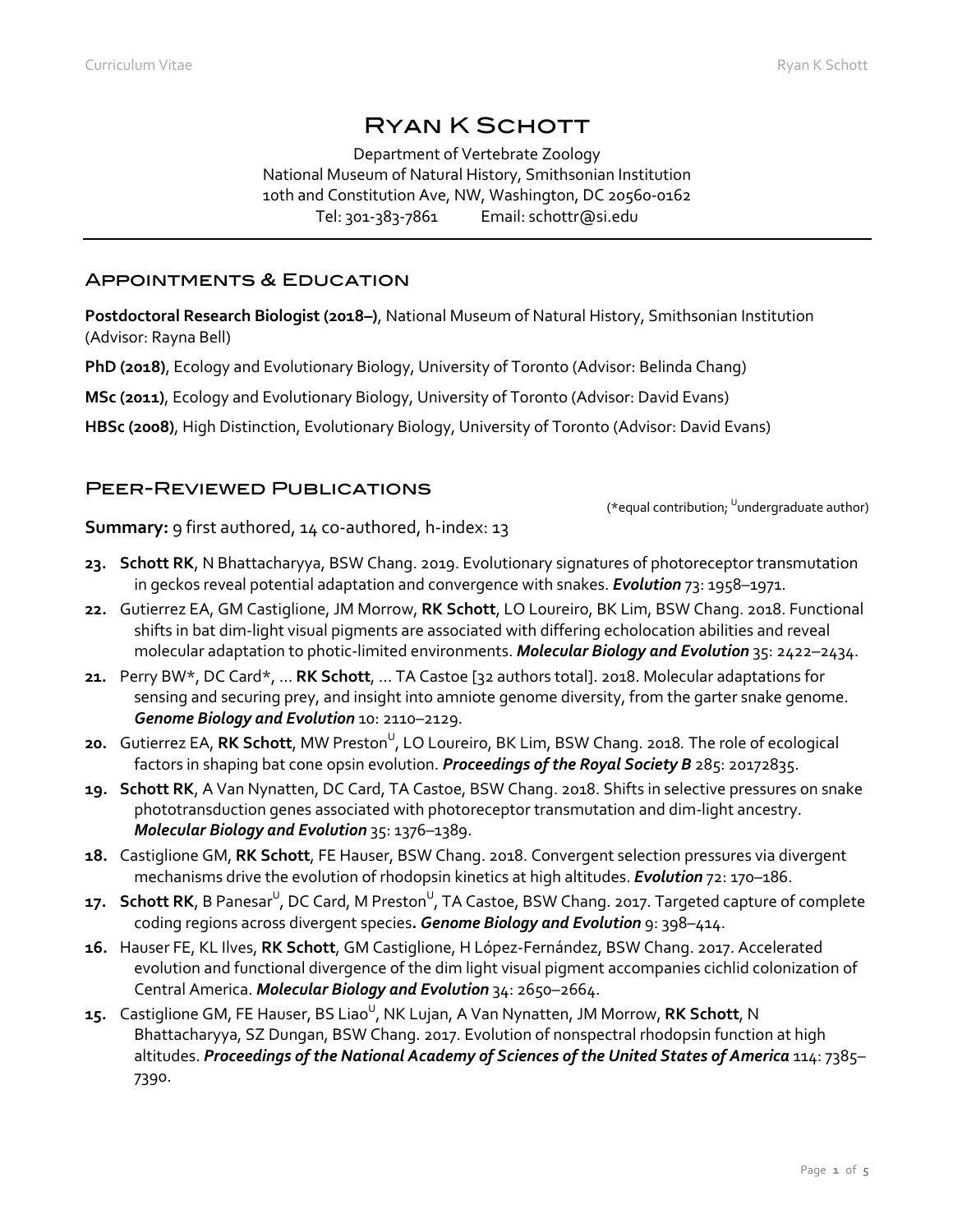# Ryan K Schott

Department of Vertebrate Zoology National Museum of Natural History, Smithsonian Institution 10th and Constitution Ave, NW, Washington, DC 20560-0162 Tel: 301-383-7861 Email: schottr@si.edu

### Appointments & Education

**Postdoctoral Research Biologist (2018–)**, National Museum of Natural History, Smithsonian Institution (Advisor: Rayna Bell)

**PhD (2018)**, Ecology and Evolutionary Biology, University of Toronto (Advisor: Belinda Chang)

**MSc (2011)**, Ecology and Evolutionary Biology, University of Toronto (Advisor: David Evans)

**HBSc (2008)**, High Distinction, Evolutionary Biology, University of Toronto (Advisor: David Evans)

# Peer-Reviewed Publications

(\*equal contribution; <sup>U</sup>undergraduate author)

**Summary:** 9 first authored, 14 co-authored, h-index: 13

- **23. Schott RK**, N Bhattacharyya, BSW Chang. 2019. Evolutionary signatures of photoreceptor transmutation in geckos reveal potential adaptation and convergence with snakes. *Evolution* 73: 1958–1971.
- **22.** Gutierrez EA, GM Castiglione, JM Morrow, **RK Schott**, LO Loureiro, BK Lim, BSW Chang. 2018. Functional shifts in bat dim-light visual pigments are associated with differing echolocation abilities and reveal molecular adaptation to photic-limited environments. *Molecular Biology and Evolution* 35: 2422–2434.
- **21.** Perry BW\*, DC Card\*, … **RK Schott**, … TA Castoe [32 authors total]. 2018. Molecular adaptations for sensing and securing prey, and insight into amniote genome diversity, from the garter snake genome. *Genome Biology and Evolution* 10: 2110–2129.
- **20.** Gutierrez EA, **RK Schott**, MW Preston<sup>U</sup>, LO Loureiro, BK Lim, BSW Chang. 2018. The role of ecological factors in shaping bat cone opsin evolution. *Proceedings of the Royal Society B* 285: 20172835.
- **19. Schott RK**, A Van Nynatten, DC Card, TA Castoe, BSW Chang. 2018. Shifts in selective pressures on snake phototransduction genes associated with photoreceptor transmutation and dim-light ancestry. *Molecular Biology and Evolution* 35: 1376–1389.
- **18.** Castiglione GM, **RK Schott**, FE Hauser, BSW Chang. 2018. Convergent selection pressures via divergent mechanisms drive the evolution of rhodopsin kinetics at high altitudes. *Evolution* 72: 170–186.
- **17. Schott RK**, B Panesar<sup>U</sup>, DC Card, M Preston<sup>U</sup>, TA Castoe, BSW Chang. 2017. Targeted capture of complete coding regions across divergent species**.** *Genome Biology and Evolution* 9: 398–414.
- **16.** Hauser FE, KL Ilves, **RK Schott**, GM Castiglione, H López-Fernández, BSW Chang. 2017. Accelerated evolution and functional divergence of the dim light visual pigment accompanies cichlid colonization of Central America. *Molecular Biology and Evolution* 34: 2650–2664.
- **15.** Castiglione GM, FE Hauser, BS Liao<sup>∪</sup>, NK Lujan, A Van Nynatten, JM Morrow, **RK Schott**, N Bhattacharyya, SZ Dungan, BSW Chang. 2017. Evolution of nonspectral rhodopsin function at high altitudes. *Proceedings of the National Academy of Sciences of the United States of America* 114: 7385– 7390.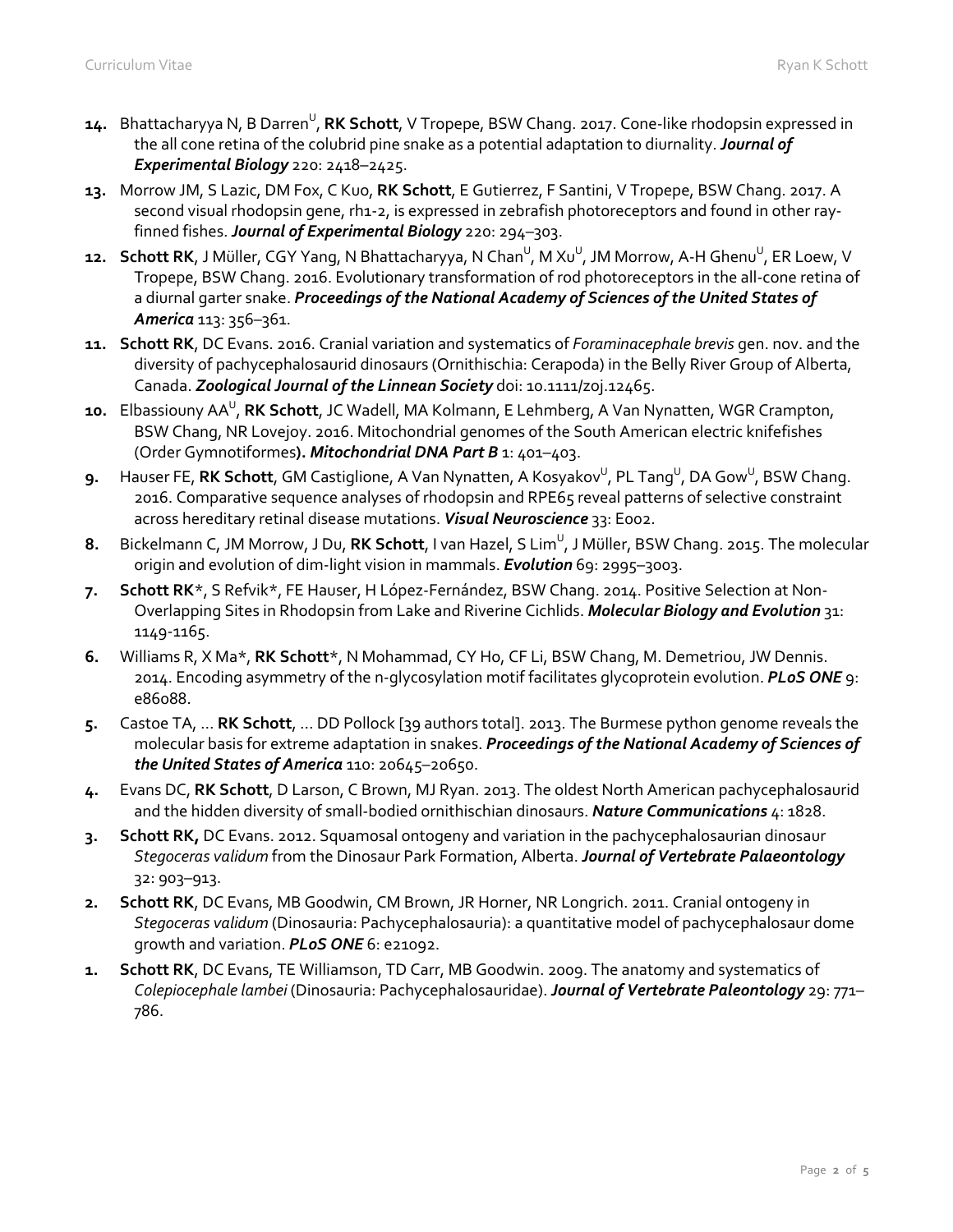- **14.** Bhattacharyya N, B Darren<sup>U</sup>, **RK Schott**, V Tropepe, BSW Chang. 2017. Cone-like rhodopsin expressed in the all cone retina of the colubrid pine snake as a potential adaptation to diurnality. *Journal of Experimental Biology* 220: 2418–2425.
- **13.** Morrow JM, S Lazic, DM Fox, C Kuo, **RK Schott**, E Gutierrez, F Santini, V Tropepe, BSW Chang. 2017. A second visual rhodopsin gene, rh1-2, is expressed in zebrafish photoreceptors and found in other rayfinned fishes. *Journal of Experimental Biology* 220: 294–303.
- **12. Schott RK**, J Müller, CGY Yang, N Bhattacharyya, N Chan<sup>u</sup>, M Xu<sup>u</sup>, JM Morrow, A-H Ghenu<sup>u</sup>, ER Loew, V Tropepe, BSW Chang. 2016. Evolutionary transformation of rod photoreceptors in the all-cone retina of a diurnal garter snake. *Proceedings of the National Academy of Sciences of the United States of America* 113: 356–361.
- **11. Schott RK**, DC Evans. 2016. Cranial variation and systematics of *Foraminacephale brevis* gen. nov. and the diversity of pachycephalosaurid dinosaurs (Ornithischia: Cerapoda) in the Belly River Group of Alberta, Canada. *Zoological Journal of the Linnean Society* doi: 10.1111/zoj.12465.
- **10.** Elbassiouny AA<sup>U</sup>, **RK Schott**, JC Wadell, MA Kolmann, E Lehmberg, A Van Nynatten, WGR Crampton, BSW Chang, NR Lovejoy. 2016. Mitochondrial genomes of the South American electric knifefishes (Order Gymnotiformes**).** *Mitochondrial DNA Part B* 1: 401–403.
- $\,$ 9.  $\,$  Hauser FE, **RK Schott**, GM Castiglione, A Van Nynatten, A Kosyakov $\rm ^{\cup}$ , PL Tang $\rm ^{\cup}$ , DA Gow $\rm ^{\cup}$ , BSW Chang. 2016. Comparative sequence analyses of rhodopsin and RPE65 reveal patterns of selective constraint across hereditary retinal disease mutations. *Visual Neuroscience* 33: E002.
- 8. Bickelmann C, JM Morrow, J Du, **RK Schott**, I van Hazel, S Lim<sup>u</sup>, J Müller, BSW Chang. 2015. The molecular origin and evolution of dim-light vision in mammals. *Evolution* 69: 2995–3003.
- **7. Schott RK**\*, S Refvik\*, FE Hauser, H López-Fernández, BSW Chang. 2014. Positive Selection at Non-Overlapping Sites in Rhodopsin from Lake and Riverine Cichlids. *Molecular Biology and Evolution* 31: 1149-1165.
- **6.** Williams R, X Ma\*, **RK Schott**\*, N Mohammad, CY Ho, CF Li, BSW Chang, M. Demetriou, JW Dennis. 2014. Encoding asymmetry of the n-glycosylation motif facilitates glycoprotein evolution. *PLoS ONE* 9: e86088.
- **5.** Castoe TA, ... **RK Schott**, ... DD Pollock [39 authors total]. 2013. The Burmese python genome reveals the molecular basis for extreme adaptation in snakes. *Proceedings of the National Academy of Sciences of the United States of America* 110: 20645–20650.
- **4.** Evans DC, **RK Schott**, D Larson, C Brown, MJ Ryan. 2013. The oldest North American pachycephalosaurid and the hidden diversity of small-bodied ornithischian dinosaurs. *Nature Communications* 4: 1828.
- **3. Schott RK,** DC Evans. 2012. Squamosal ontogeny and variation in the pachycephalosaurian dinosaur *Stegoceras validum* from the Dinosaur Park Formation, Alberta. *Journal of Vertebrate Palaeontology* 32: 903–913.
- **2. Schott RK**, DC Evans, MB Goodwin, CM Brown, JR Horner, NR Longrich. 2011. Cranial ontogeny in *Stegoceras validum* (Dinosauria: Pachycephalosauria): a quantitative model of pachycephalosaur dome growth and variation. *PLoS ONE* 6: e21092.
- **1. Schott RK**, DC Evans, TE Williamson, TD Carr, MB Goodwin. 2009. The anatomy and systematics of *Colepiocephale lambei* (Dinosauria: Pachycephalosauridae). *Journal of Vertebrate Paleontology* 29: 771– 786.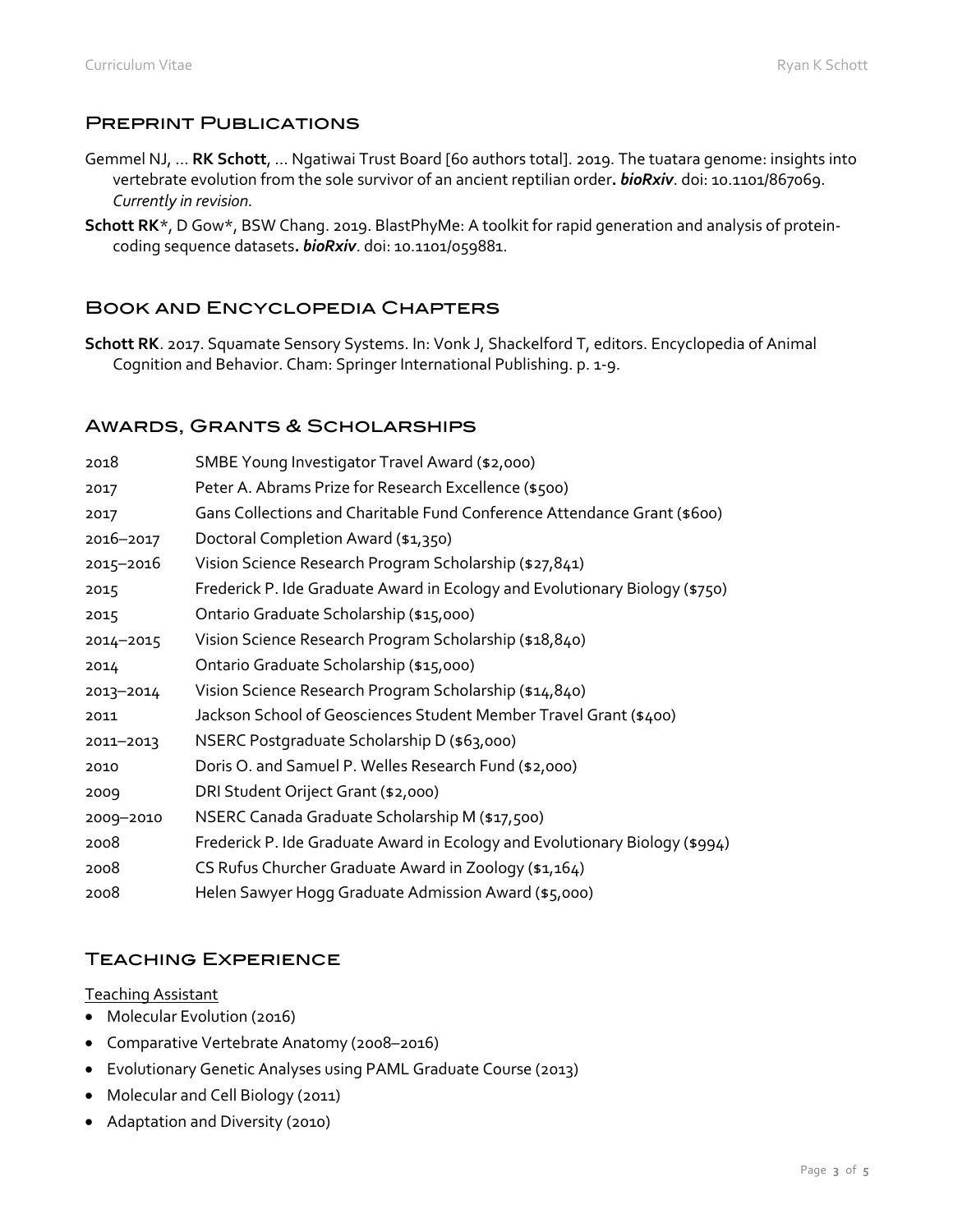### Preprint Publications

- Gemmel NJ, … **RK Schott**, … Ngatiwai Trust Board [60 authors total]. 2019. The tuatara genome: insights into vertebrate evolution from the sole survivor of an ancient reptilian order**.** *bioRxiv*. doi: 10.1101/867069. *Currently in revision.*
- **Schott RK**\*, D Gow\*, BSW Chang. 2019. BlastPhyMe: A toolkit for rapid generation and analysis of proteincoding sequence datasets**.** *bioRxiv*. doi: 10.1101/059881.

# Book and Encyclopedia Chapters

**Schott RK**. 2017. Squamate Sensory Systems. In: Vonk J, Shackelford T, editors. Encyclopedia of Animal Cognition and Behavior. Cham: Springer International Publishing. p. 1-9.

### Awards, Grants & Scholarships

| 2018      | SMBE Young Investigator Travel Award (\$2,000)                              |
|-----------|-----------------------------------------------------------------------------|
|           |                                                                             |
| 2017      | Peter A. Abrams Prize for Research Excellence (\$500)                       |
| 2017      | Gans Collections and Charitable Fund Conference Attendance Grant (\$600)    |
| 2016-2017 | Doctoral Completion Award (\$1,350)                                         |
| 2015-2016 | Vision Science Research Program Scholarship (\$27,841)                      |
| 2015      | Frederick P. Ide Graduate Award in Ecology and Evolutionary Biology (\$750) |
| 2015      | Ontario Graduate Scholarship (\$15,000)                                     |
| 2014-2015 | Vision Science Research Program Scholarship (\$18,840)                      |
| 2014      | Ontario Graduate Scholarship (\$15,000)                                     |
| 2013-2014 | Vision Science Research Program Scholarship (\$14,840)                      |
| 2011      | Jackson School of Geosciences Student Member Travel Grant (\$400)           |
| 2011-2013 | NSERC Postgraduate Scholarship D (\$63,000)                                 |
| 2010      | Doris O. and Samuel P. Welles Research Fund (\$2,000)                       |
| 2009      | DRI Student Oriject Grant (\$2,000)                                         |
| 2009-2010 | NSERC Canada Graduate Scholarship M (\$17,500)                              |
| 2008      | Frederick P. Ide Graduate Award in Ecology and Evolutionary Biology (\$994) |
| 2008      | CS Rufus Churcher Graduate Award in Zoology (\$1,164)                       |
| 2008      | Helen Sawyer Hogg Graduate Admission Award (\$5,000)                        |

# Teaching Experience

#### Teaching Assistant

- Molecular Evolution (2016)
- Comparative Vertebrate Anatomy (2008–2016)
- Evolutionary Genetic Analyses using PAML Graduate Course (2013)
- Molecular and Cell Biology (2011)
- Adaptation and Diversity (2010)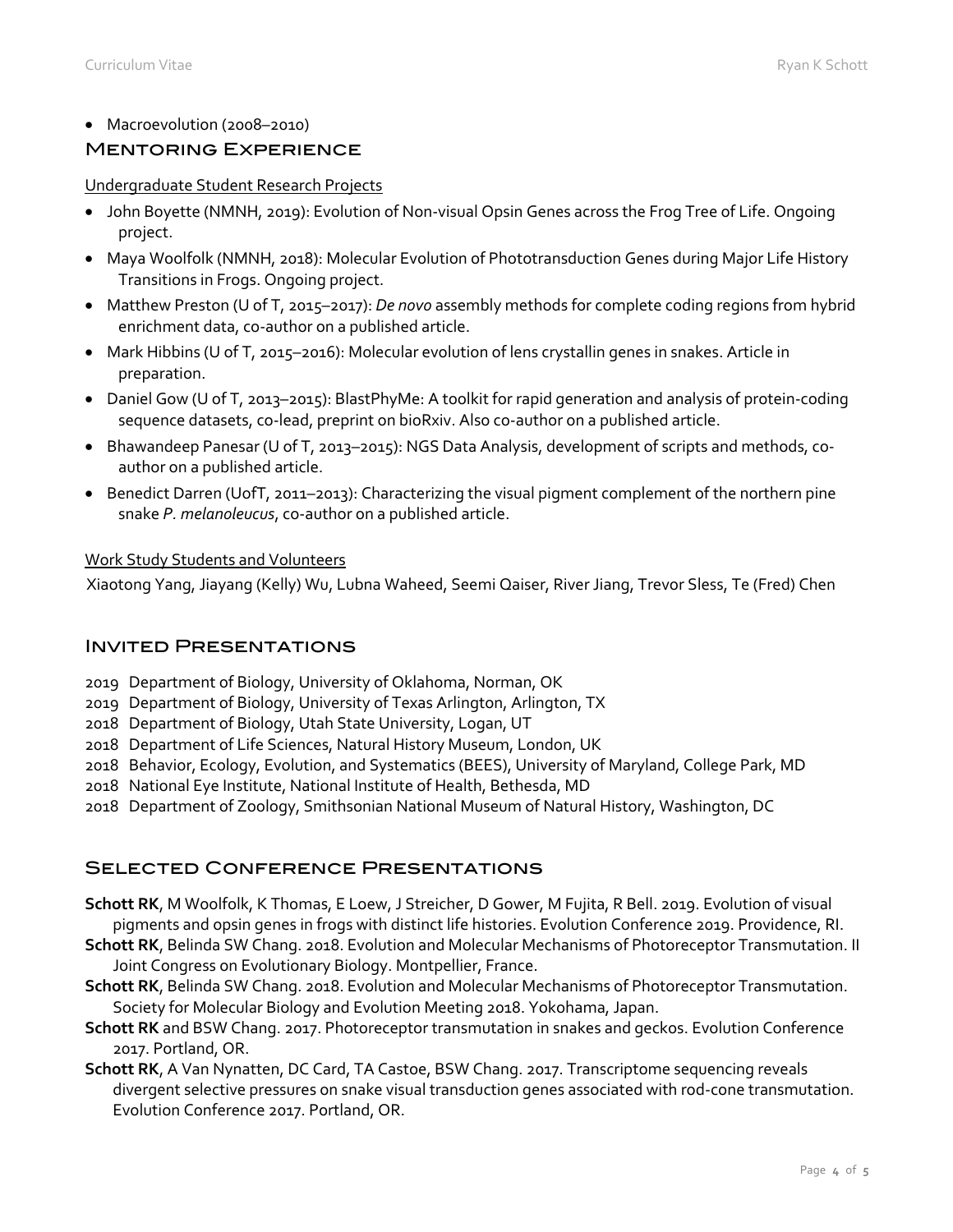• Macroevolution (2008–2010)

# Mentoring Experience

#### Undergraduate Student Research Projects

- John Boyette (NMNH, 2019): Evolution of Non-visual Opsin Genes across the Frog Tree of Life. Ongoing project.
- Maya Woolfolk (NMNH, 2018): Molecular Evolution of Phototransduction Genes during Major Life History Transitions in Frogs. Ongoing project.
- Matthew Preston (U of T, 2015–2017): *De novo* assembly methods for complete coding regions from hybrid enrichment data, co-author on a published article.
- Mark Hibbins (U of T, 2015–2016): Molecular evolution of lens crystallin genes in snakes. Article in preparation.
- Daniel Gow (U of T, 2013–2015): BlastPhyMe: A toolkit for rapid generation and analysis of protein-coding sequence datasets, co-lead, preprint on bioRxiv. Also co-author on a published article.
- Bhawandeep Panesar (U of T, 2013–2015): NGS Data Analysis, development of scripts and methods, coauthor on a published article.
- Benedict Darren (UofT, 2011–2013): Characterizing the visual pigment complement of the northern pine snake *P. melanoleucus*, co-author on a published article.

### Work Study Students and Volunteers

Xiaotong Yang, Jiayang (Kelly) Wu, Lubna Waheed, Seemi Qaiser, River Jiang, Trevor Sless, Te (Fred) Chen

# Invited Presentations

- 2019 Department of Biology, University of Oklahoma, Norman, OK
- 2019 Department of Biology, University of Texas Arlington, Arlington, TX
- 2018 Department of Biology, Utah State University, Logan, UT
- 2018 Department of Life Sciences, Natural History Museum, London, UK
- 2018 Behavior, Ecology, Evolution, and Systematics (BEES), University of Maryland, College Park, MD
- 2018 National Eye Institute, National Institute of Health, Bethesda, MD
- 2018 Department of Zoology, Smithsonian National Museum of Natural History, Washington, DC

# Selected Conference Presentations

- **Schott RK**, M Woolfolk, K Thomas, E Loew, J Streicher, D Gower, M Fujita, R Bell. 2019. Evolution of visual pigments and opsin genes in frogs with distinct life histories. Evolution Conference 2019. Providence, RI.
- **Schott RK**, Belinda SW Chang. 2018. Evolution and Molecular Mechanisms of Photoreceptor Transmutation. II Joint Congress on Evolutionary Biology. Montpellier, France.
- **Schott RK**, Belinda SW Chang. 2018. Evolution and Molecular Mechanisms of Photoreceptor Transmutation. Society for Molecular Biology and Evolution Meeting 2018. Yokohama, Japan.
- **Schott RK** and BSW Chang. 2017. Photoreceptor transmutation in snakes and geckos. Evolution Conference 2017. Portland, OR.
- **Schott RK**, A Van Nynatten, DC Card, TA Castoe, BSW Chang. 2017. Transcriptome sequencing reveals divergent selective pressures on snake visual transduction genes associated with rod-cone transmutation. Evolution Conference 2017. Portland, OR.